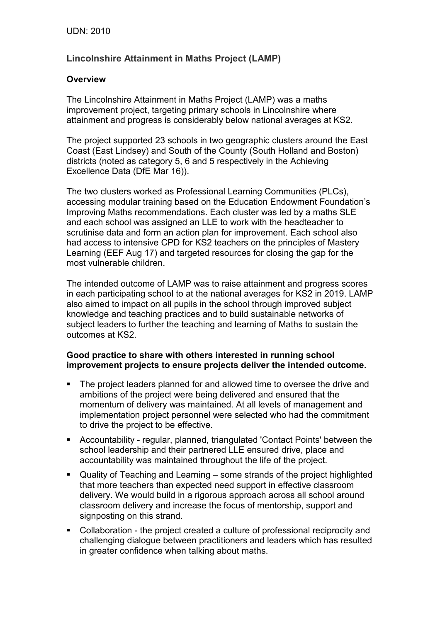# **Lincolnshire Attainment in Maths Project (LAMP)**

## **Overview**

The Lincolnshire Attainment in Maths Project (LAMP) was a maths improvement project, targeting primary schools in Lincolnshire where attainment and progress is considerably below national averages at KS2.

The project supported 23 schools in two geographic clusters around the East Coast (East Lindsey) and South of the County (South Holland and Boston) districts (noted as category 5, 6 and 5 respectively in the Achieving Excellence Data (DfE Mar 16)).

The two clusters worked as Professional Learning Communities (PLCs), accessing modular training based on the Education Endowment Foundation's Improving Maths recommendations. Each cluster was led by a maths SLE and each school was assigned an LLE to work with the headteacher to scrutinise data and form an action plan for improvement. Each school also had access to intensive CPD for KS2 teachers on the principles of Mastery Learning (EEF Aug 17) and targeted resources for closing the gap for the most vulnerable children.

The intended outcome of LAMP was to raise attainment and progress scores in each participating school to at the national averages for KS2 in 2019. LAMP also aimed to impact on all pupils in the school through improved subject knowledge and teaching practices and to build sustainable networks of subject leaders to further the teaching and learning of Maths to sustain the outcomes at KS2.

#### **Good practice to share with others interested in running school improvement projects to ensure projects deliver the intended outcome.**

- The project leaders planned for and allowed time to oversee the drive and ambitions of the project were being delivered and ensured that the momentum of delivery was maintained. At all levels of management and implementation project personnel were selected who had the commitment to drive the project to be effective.
- Accountability regular, planned, triangulated 'Contact Points' between the school leadership and their partnered LLE ensured drive, place and accountability was maintained throughout the life of the project.
- Quality of Teaching and Learning some strands of the project highlighted that more teachers than expected need support in effective classroom delivery. We would build in a rigorous approach across all school around classroom delivery and increase the focus of mentorship, support and signposting on this strand.
- Collaboration the project created a culture of professional reciprocity and challenging dialogue between practitioners and leaders which has resulted in greater confidence when talking about maths.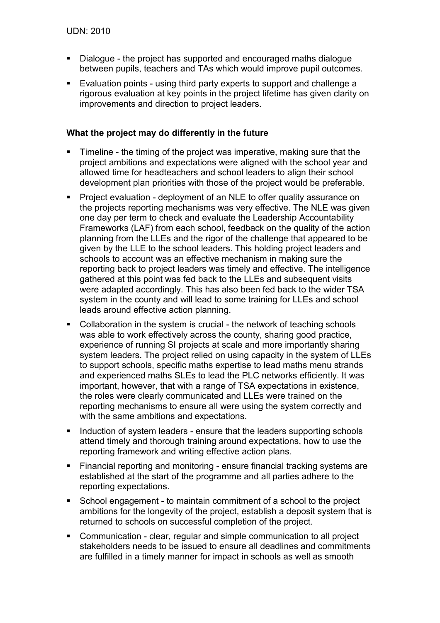- Dialogue the project has supported and encouraged maths dialogue between pupils, teachers and TAs which would improve pupil outcomes.
- Evaluation points using third party experts to support and challenge a rigorous evaluation at key points in the project lifetime has given clarity on improvements and direction to project leaders.

# **What the project may do differently in the future**

- **Timeline the timing of the project was imperative, making sure that the** project ambitions and expectations were aligned with the school year and allowed time for headteachers and school leaders to align their school development plan priorities with those of the project would be preferable.
- Project evaluation deployment of an NLE to offer quality assurance on the projects reporting mechanisms was very effective. The NLE was given one day per term to check and evaluate the Leadership Accountability Frameworks (LAF) from each school, feedback on the quality of the action planning from the LLEs and the rigor of the challenge that appeared to be given by the LLE to the school leaders. This holding project leaders and schools to account was an effective mechanism in making sure the reporting back to project leaders was timely and effective. The intelligence gathered at this point was fed back to the LLEs and subsequent visits were adapted accordingly. This has also been fed back to the wider TSA system in the county and will lead to some training for LLEs and school leads around effective action planning.
- Collaboration in the system is crucial the network of teaching schools was able to work effectively across the county, sharing good practice, experience of running SI projects at scale and more importantly sharing system leaders. The project relied on using capacity in the system of LLEs to support schools, specific maths expertise to lead maths menu strands and experienced maths SLEs to lead the PLC networks efficiently. It was important, however, that with a range of TSA expectations in existence, the roles were clearly communicated and LLEs were trained on the reporting mechanisms to ensure all were using the system correctly and with the same ambitions and expectations.
- Induction of system leaders ensure that the leaders supporting schools attend timely and thorough training around expectations, how to use the reporting framework and writing effective action plans.
- **Financial reporting and monitoring ensure financial tracking systems are** established at the start of the programme and all parties adhere to the reporting expectations.
- School engagement to maintain commitment of a school to the project ambitions for the longevity of the project, establish a deposit system that is returned to schools on successful completion of the project.
- **Communication clear, regular and simple communication to all project** stakeholders needs to be issued to ensure all deadlines and commitments are fulfilled in a timely manner for impact in schools as well as smooth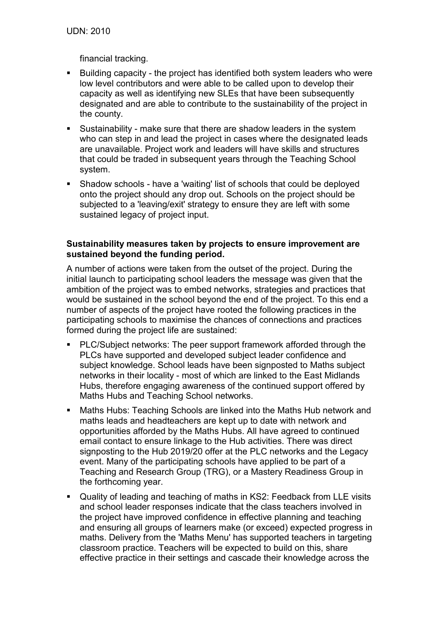financial tracking.

- Building capacity the project has identified both system leaders who were low level contributors and were able to be called upon to develop their capacity as well as identifying new SLEs that have been subsequently designated and are able to contribute to the sustainability of the project in the county.
- Sustainability make sure that there are shadow leaders in the system who can step in and lead the project in cases where the designated leads are unavailable. Project work and leaders will have skills and structures that could be traded in subsequent years through the Teaching School system.
- Shadow schools have a 'waiting' list of schools that could be deployed onto the project should any drop out. Schools on the project should be subjected to a 'leaving/exit' strategy to ensure they are left with some sustained legacy of project input.

## **Sustainability measures taken by projects to ensure improvement are sustained beyond the funding period.**

A number of actions were taken from the outset of the project. During the initial launch to participating school leaders the message was given that the ambition of the project was to embed networks, strategies and practices that would be sustained in the school beyond the end of the project. To this end a number of aspects of the project have rooted the following practices in the participating schools to maximise the chances of connections and practices formed during the project life are sustained:

- PLC/Subject networks: The peer support framework afforded through the PLCs have supported and developed subject leader confidence and subject knowledge. School leads have been signposted to Maths subject networks in their locality - most of which are linked to the East Midlands Hubs, therefore engaging awareness of the continued support offered by Maths Hubs and Teaching School networks.
- Maths Hubs: Teaching Schools are linked into the Maths Hub network and maths leads and headteachers are kept up to date with network and opportunities afforded by the Maths Hubs. All have agreed to continued email contact to ensure linkage to the Hub activities. There was direct signposting to the Hub 2019/20 offer at the PLC networks and the Legacy event. Many of the participating schools have applied to be part of a Teaching and Research Group (TRG), or a Mastery Readiness Group in the forthcoming year.
- Quality of leading and teaching of maths in KS2: Feedback from LLE visits and school leader responses indicate that the class teachers involved in the project have improved confidence in effective planning and teaching and ensuring all groups of learners make (or exceed) expected progress in maths. Delivery from the 'Maths Menu' has supported teachers in targeting classroom practice. Teachers will be expected to build on this, share effective practice in their settings and cascade their knowledge across the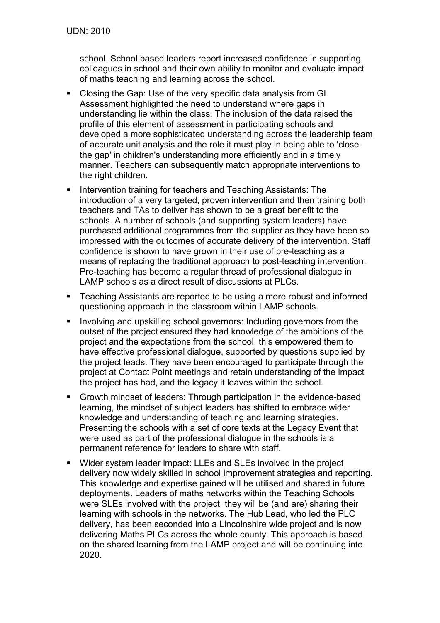school. School based leaders report increased confidence in supporting colleagues in school and their own ability to monitor and evaluate impact of maths teaching and learning across the school.

- Closing the Gap: Use of the very specific data analysis from GL Assessment highlighted the need to understand where gaps in understanding lie within the class. The inclusion of the data raised the profile of this element of assessment in participating schools and developed a more sophisticated understanding across the leadership team of accurate unit analysis and the role it must play in being able to 'close the gap' in children's understanding more efficiently and in a timely manner. Teachers can subsequently match appropriate interventions to the right children.
- Intervention training for teachers and Teaching Assistants: The introduction of a very targeted, proven intervention and then training both teachers and TAs to deliver has shown to be a great benefit to the schools. A number of schools (and supporting system leaders) have purchased additional programmes from the supplier as they have been so impressed with the outcomes of accurate delivery of the intervention. Staff confidence is shown to have grown in their use of pre-teaching as a means of replacing the traditional approach to post-teaching intervention. Pre-teaching has become a regular thread of professional dialogue in LAMP schools as a direct result of discussions at PLCs.
- Teaching Assistants are reported to be using a more robust and informed questioning approach in the classroom within LAMP schools.
- **Involving and upskilling school governors: Including governors from the** outset of the project ensured they had knowledge of the ambitions of the project and the expectations from the school, this empowered them to have effective professional dialogue, supported by questions supplied by the project leads. They have been encouraged to participate through the project at Contact Point meetings and retain understanding of the impact the project has had, and the legacy it leaves within the school.
- Growth mindset of leaders: Through participation in the evidence-based learning, the mindset of subject leaders has shifted to embrace wider knowledge and understanding of teaching and learning strategies. Presenting the schools with a set of core texts at the Legacy Event that were used as part of the professional dialogue in the schools is a permanent reference for leaders to share with staff.
- Wider system leader impact: LLEs and SLEs involved in the project delivery now widely skilled in school improvement strategies and reporting. This knowledge and expertise gained will be utilised and shared in future deployments. Leaders of maths networks within the Teaching Schools were SLEs involved with the project, they will be (and are) sharing their learning with schools in the networks. The Hub Lead, who led the PLC delivery, has been seconded into a Lincolnshire wide project and is now delivering Maths PLCs across the whole county. This approach is based on the shared learning from the LAMP project and will be continuing into 2020.